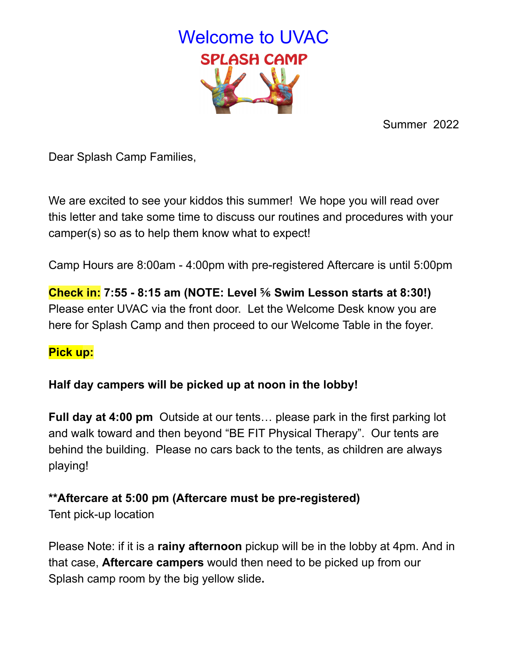

Summer 2022

Dear Splash Camp Families,

We are excited to see your kiddos this summer! We hope you will read over this letter and take some time to discuss our routines and procedures with your camper(s) so as to help them know what to expect!

Camp Hours are 8:00am - 4:00pm with pre-registered Aftercare is until 5:00pm

**Check in: 7:55 - 8:15 am (NOTE: Level ⅚ Swim Lesson starts at 8:30!)** Please enter UVAC via the front door. Let the Welcome Desk know you are here for Splash Camp and then proceed to our Welcome Table in the foyer.

## **Pick up:**

# **Half day campers will be picked up at noon in the lobby!**

**Full day at 4:00 pm** Outside at our tents… please park in the first parking lot and walk toward and then beyond "BE FIT Physical Therapy". Our tents are behind the building. Please no cars back to the tents, as children are always playing!

# **\*\*Aftercare at 5:00 pm (Aftercare must be pre-registered)**

Tent pick-up location

Please Note: if it is a **rainy afternoon** pickup will be in the lobby at 4pm. And in that case, **Aftercare campers** would then need to be picked up from our Splash camp room by the big yellow slide**.**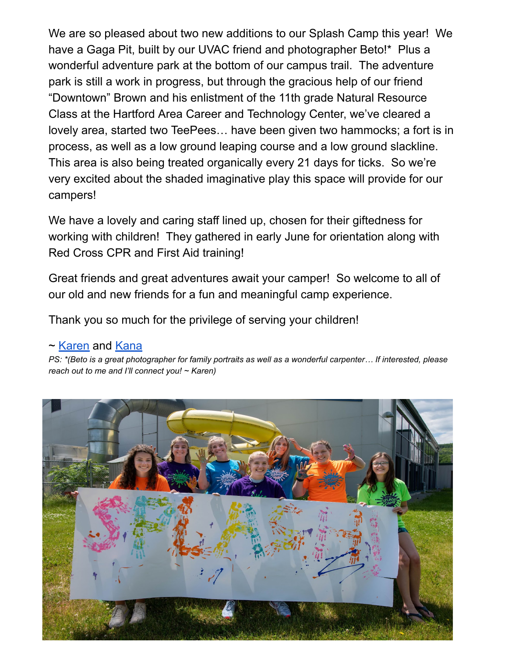We are so pleased about two new additions to our Splash Camp this year! We have a Gaga Pit, built by our UVAC friend and photographer Beto!\* Plus a wonderful adventure park at the bottom of our campus trail. The adventure park is still a work in progress, but through the gracious help of our friend "Downtown" Brown and his enlistment of the 11th grade Natural Resource Class at the Hartford Area Career and Technology Center, we've cleared a lovely area, started two TeePees… have been given two hammocks; a fort is in process, as well as a low ground leaping course and a low ground slackline. This area is also being treated organically every 21 days for ticks. So we're very excited about the shaded imaginative play this space will provide for our campers!

We have a lovely and caring staff lined up, chosen for their giftedness for working with children! They gathered in early June for orientation along with Red Cross CPR and First Aid training!

Great friends and great adventures await your camper! So welcome to all of our old and new friends for a fun and meaningful camp experience.

Thank you so much for the privilege of serving your children!

## ~ [Karen](mailto:kcox@uvacswim.org) and [Kana](mailto:kwyman@uvacswim.org)

PS: \*(Beto is a great photographer for family portraits as well as a wonderful carpenter... If interested, please *reach out to me and I'll connect you! ~ Karen)*

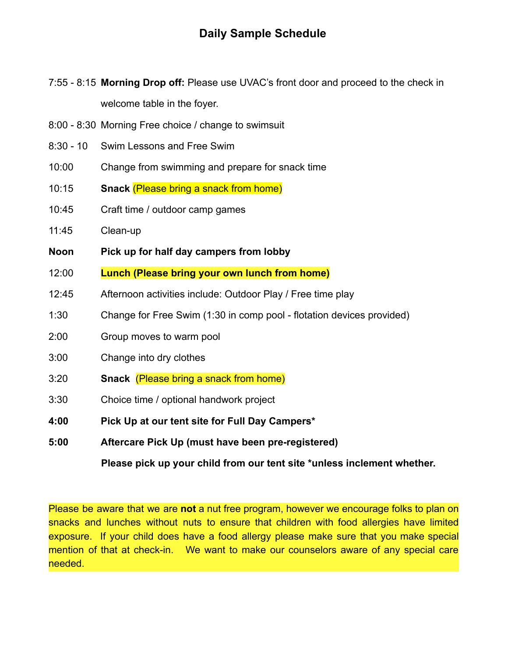7:55 - 8:15 **Morning Drop off:** Please use UVAC's front door and proceed to the check in welcome table in the foyer.

- 8:00 8:30 Morning Free choice / change to swimsuit
- 8:30 10 Swim Lessons and Free Swim
- 10:00 Change from swimming and prepare for snack time
- 10:15 **Snack** (Please bring a snack from home)
- 10:45 Craft time / outdoor camp games
- 11:45 Clean-up
- **Noon Pick up for half day campers from lobby**
- 12:00 **Lunch (Please bring your own lunch from home)**
- 12:45 Afternoon activities include: Outdoor Play / Free time play
- 1:30 Change for Free Swim (1:30 in comp pool flotation devices provided)
- 2:00 Group moves to warm pool
- 3:00 Change into dry clothes
- 3:20 **Snack** (Please bring a snack from home)
- 3:30 Choice time / optional handwork project
- **4:00 Pick Up at our tent site for Full Day Campers\***
- **5:00 Aftercare Pick Up (must have been pre-registered)**

**Please pick up your child from our tent site \*unless inclement whether.**

Please be aware that we are **not** a nut free program, however we encourage folks to plan on snacks and lunches without nuts to ensure that children with food allergies have limited exposure. If your child does have a food allergy please make sure that you make special mention of that at check-in. We want to make our counselors aware of any special care needed.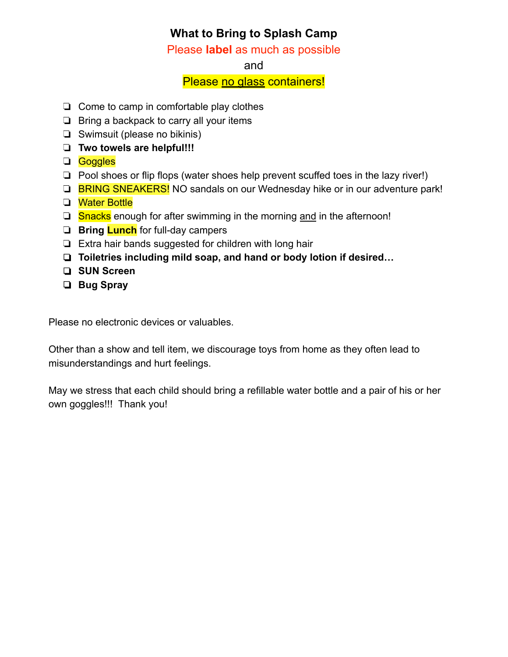## **What to Bring to Splash Camp**

Please **label** as much as possible

### and

### Please no glass containers!

- ❏ Come to camp in comfortable play clothes
- ❏ Bring a backpack to carry all your items
- ❏ Swimsuit (please no bikinis)
- ❏ **Two towels are helpful!!!**
- ❏ Goggles
- ❏ Pool shoes or flip flops (water shoes help prevent scuffed toes in the lazy river!)
- ❏ BRING SNEAKERS! NO sandals on our Wednesday hike or in our adventure park!
- ❏ Water Bottle
- **□ Snacks** enough for after swimming in the morning and in the afternoon!
- ❏ **Bring Lunch** for full-day campers
- ❏ Extra hair bands suggested for children with long hair
- ❏ **Toiletries including mild soap, and hand or body lotion if desired…**
- ❏ **SUN Screen**
- ❏ **Bug Spray**

Please no electronic devices or valuables.

Other than a show and tell item, we discourage toys from home as they often lead to misunderstandings and hurt feelings.

May we stress that each child should bring a refillable water bottle and a pair of his or her own goggles!!! Thank you!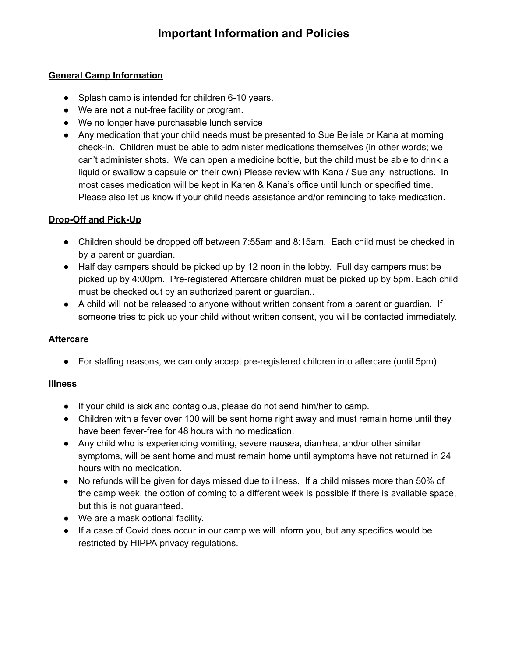#### **General Camp Information**

- Splash camp is intended for children 6-10 years.
- We are **not** a nut-free facility or program.
- We no longer have purchasable lunch service
- Any medication that your child needs must be presented to Sue Belisle or Kana at morning check-in. Children must be able to administer medications themselves (in other words; we can't administer shots. We can open a medicine bottle, but the child must be able to drink a liquid or swallow a capsule on their own) Please review with Kana / Sue any instructions. In most cases medication will be kept in Karen & Kana's office until lunch or specified time. Please also let us know if your child needs assistance and/or reminding to take medication.

#### **Drop-Off and Pick-Up**

- Children should be dropped off between 7:55am and 8:15am. Each child must be checked in by a parent or guardian.
- Half day campers should be picked up by 12 noon in the lobby. Full day campers must be picked up by 4:00pm. Pre-registered Aftercare children must be picked up by 5pm. Each child must be checked out by an authorized parent or guardian..
- A child will not be released to anyone without written consent from a parent or guardian. If someone tries to pick up your child without written consent, you will be contacted immediately.

#### **Aftercare**

● For staffing reasons, we can only accept pre-registered children into aftercare (until 5pm)

#### **Illness**

- If your child is sick and contagious, please do not send him/her to camp.
- Children with a fever over 100 will be sent home right away and must remain home until they have been fever-free for 48 hours with no medication.
- Any child who is experiencing vomiting, severe nausea, diarrhea, and/or other similar symptoms, will be sent home and must remain home until symptoms have not returned in 24 hours with no medication.
- No refunds will be given for days missed due to illness. If a child misses more than 50% of the camp week, the option of coming to a different week is possible if there is available space, but this is not guaranteed.
- We are a mask optional facility.
- If a case of Covid does occur in our camp we will inform you, but any specifics would be restricted by HIPPA privacy regulations.